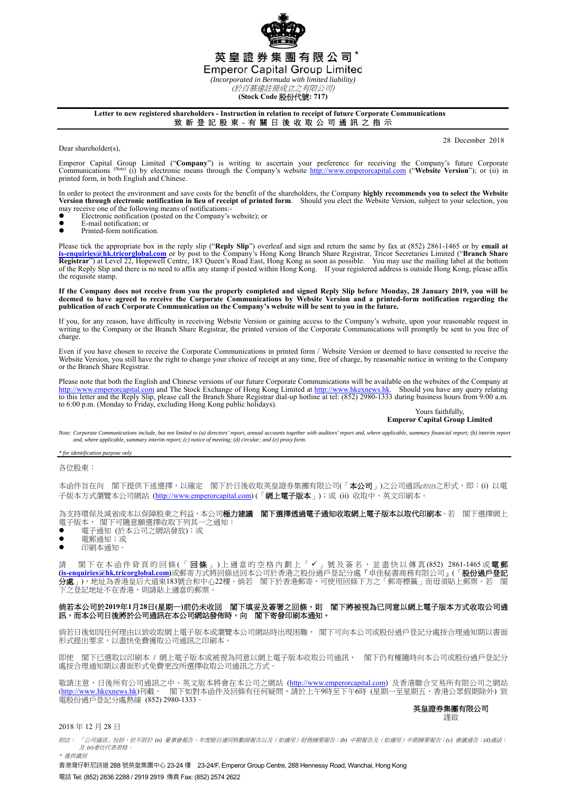英皇證券集團有限公司\* **Emperor Capital Group Limited** *(Incorporated in Bermuda with limited liability)* 

(於百慕達註冊成立之有限公司)

**(Stock Code** 股份代號**: 717)** 

# **Letter to new registered shareholders - Instruction in relation to receipt of future Corporate Communications**

致 新 登 記 股 東 - 有 關 日 後 收 取 公 司 通 訊 之 指 示 ٦

28 December 2018

Emperor Capital Group Limited ("Company") is writing to ascertain your preference for receiving the Company's future Corporate<br>Communications (Note) (i) by electronic means through the Company's website http://www.emperorc printed form, in both English and Chinese.

In order to protect the environment and save costs for the benefit of the shareholders, the Company **highly recommends you to select the Website**<br>Version through electronic notification in lieu of receipt of printed form. may receive one of the following means of notifications:-

- $\bullet$  Electronic notification (posted on the Company's website); or
- $\bullet$  E-mail notification; or

Dear shareholder(s),

Printed-form notification.

Please tick the appropriate box in the reply slip ("Reply Slip") overleaf and sign and return the same by fax at (852) 2861-1465 or by email at<br>is-enquiries@hk.tricorglobal.com or by post to the Company's Hong Kong Branch Registrar") at Level 22, Hopewell Centre, 183 Queen's Road East, Hong Kong as soon as possible. You may use the mailing label at the bottom<br>of the Reply Slip and there is no need to affix any stamp if posted within Hong Ko the requisite stamp.

If the Company does not receive from you the properly completed and signed Reply Slip before Monday, 28 January 2019, you will be<br>deemed to have agreed to receive the Corporate Communications by Website Version and a print **publication of each Corporate Communication on the Company's website will be sent to you in the future.** 

If you, for any reason, have difficulty in receiving Website Version or gaining access to the Company's website, upon your reasonable request in writing to the Company or the Branch Share Registrar, the printed version of the Corporate Communications will promptly be sent to you free of charge.

Even if you have chosen to receive the Corporate Communications in printed form / Website Version or deemed to have consented to receive the Website Version, you still have the right to change your choice of receipt at any time, free of charge, by reasonable notice in writing to the Company or the Branch Share Registrar.

Please note that both the English and Chinese versions of our future Corporate Communications will be available on the websites of the Company at http://www.emperorcapital.com and The Stock Exchange of Hong Kong Limited at http://www.emperorcapital.com and The Stock Exchange of Hong Kong Limited at http://www.hkexnews.hk. Should you have any query relating to this letter and the Reply Slip, please call the Branch Share Registrar dial-up hotline at tel: (852) 2980-1333 during business hours from 9:00 a.m. to 6:00 p.m. (Monday to Friday, excluding Hong Kong public holidays).

### Yours faithfully, **Emperor Capital Group Limited**

Note: Corporate Communications include, but not limited to (a) directors' report, annual accounts together with auditors' report and, where applicable, summary financial report; (b) interim report<br>and, where applicable, su

*\* for identification purpose only* 

各位股東:

本函件旨在向 閣下提供下述選擇,以確定 閣下於日後收取英皇證券集團有限公司(「本公司」)之公司通訊(*附註*)之形式,即:(i) 以電 子版本方式瀏覽本公司網站 (http://www.emperorcapital.com) (「網上電子版本」); 或 (ii) 收取中、英文印刷本

為支持環保及減省成本以保障股東之利益,本公司**極力建議 閣下選擇透過電子通知收取網上電子版本以取代印刷本**。若 閣下選擇網上 電子版本, 閣下可隨意願選擇收取下列其一之通知:

- 電子通知 (於本公司之網站發放);或
- 電郵通知;或
- 印刷本通知。

請 閣下在本函件背頁的回條(「**回條**」)上適當的空格內劃上「✔」號及簽名,並盡快以傳真(852) 2861-1465或**電郵 (is-enquiries@hk.tricorglobal.com)**或郵寄方式將回條送回本公司於香港之股份過戶登記分處『卓佳秘書商務有限公司』(「股份過戶登記 分處」),地址為香港皇后大道東183號合和中心22樓。倘若 閣下於香港郵寄,可使用回條下方之「郵寄標籤」而毋須貼上郵票。若 下之登記地址不在香港,則請貼上適當的郵票。

## 倘若本公司於**2019**年**1**月**28**日**(**星期一**)**前仍未收回 閣下填妥及簽署之回條,則 閣下將被視為已同意以網上電子版本方式收取公司通 訊,而本公司日後將於公司通訊在本公司網站發佈時,向 閣下寄發印刷本通知。

倘若日後如因任何理由以致收取網上電子版本或瀏覽本公司網站時出現困難, 閣下可向本公司或股份過戶登記分處按合理通知期以書面 形式提出要求,以盡快免費獲取公司通訊之印刷本。

即使 閣下已選取以印刷本 / 網上電子版本或被視為同意以網上電子版本收取公司通訊, 閣下仍有權隨時向本公司或股份過戶登記分 處按合理通知期以書面形式免費更改所選擇收取公司通訊之方式。

敬請注意,日後所有公司通訊之中、英文版本將會在本公司之網站 (http://www.emperorcapital.com) 及香港聯合交易所有限公司之網站 (<u>http://www.hkexnews.hk</u>)刊載。 閣下如對本函件及回條有任何疑問,請於上午9時至下午6時 (星期一至星期五,香港公眾假期除外) 致 電股份過戶登記分處熱線 (852) 2980-1333。

#### 英皇證券集團有限公司 謹啟

## 2018 年 12 月 28 日

附註: 「公司通訊」包括,但不限於 *(a)* 董事會報告、年度賬目連同核數師報告以及(如適用)財務摘要報告;*(b)* 中期報告及(如適用)中期摘要報告;*(c)* 會議通告;*(d)*通函; 及 *(e)*委任代表表格。 \* 僅供識別

香港灣仔軒尼詩道 288 號英皇集團中心 23-24 樓 23-24/F, Emperor Group Centre, 288 Hennessy Road, Wanchai, Hong Kong 電話 Tel: (852) 2836 2288 / 2919 2919 傳真 Fax: (852) 2574 2622